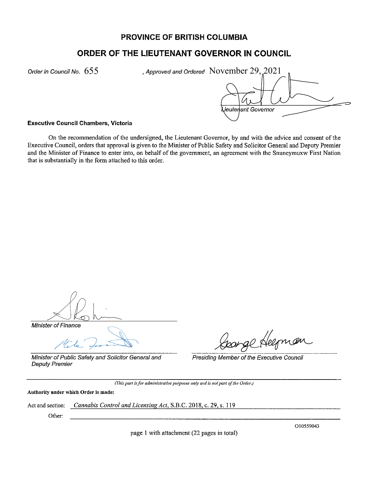# PROVINCE OF BRITISH COLUMBIA

# ORDER OF THE LIEUTENANT GOVERNOR IN COUNCIL

Order in Council No.  $655$ 

Approved and Ordered November 29, 2021

ieutenant Governor

#### **Executive Council Chambers, Victoria**

On the recommendation of the undersigned, the Lieutenant Governor, by and with the advice and consent of the Executive Council, orders that approval is given to the Minister of Public Safety and Solicitor General and Deputy Premier and the Minister of Finance to enter into, on behalf of the government, an agreement with the Snuneymuxw First Nation that is substantially in the form attached to this order.

Minister of Finance

Minister of Public Safety and Solicitor General and **Deputy Premier** 

porge Heeman

Presiding Member of the Executive Council

(This part is for administrative purposes only and is not part of the Order.)

Authority under which Order is made:

Cannabis Control and Licensing Act, S.B.C. 2018, c. 29, s. 119 Act and section:

Other:

page 1 with attachment (22 pages in total)

O10559043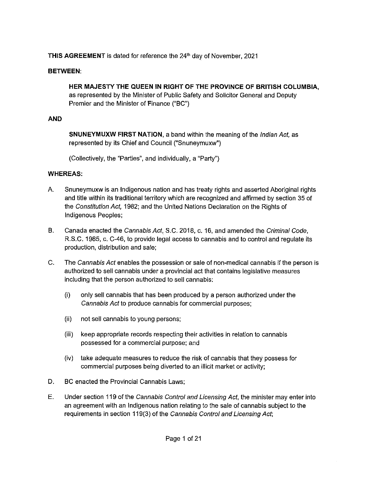# **THIS AGREEMENT** is dated for reference the 24<sup>th</sup> day of November, 2021

### **BETWEEN:**

**HER MAJESTY THE QUEEN IN RIGHT OF THE PROVINCE OF BRITISH COLUMBIA,**  as represented by the Minister of Public Safety and Solicitor General and Deputy Premier and the Minister of Finance ("BC")

### **AND**

**SNUNEYMUXW FIRST NATION,** a band within the meaning of the Indian Act, as represented by its Chief and Council ("Snuneymuxw")

(Collectively, the "Parties", and individually, a "Party")

### **WHEREAS:**

- A. Snuneymuxw is an Indigenous nation and has treaty rights and asserted Aboriginal rights and title within its traditional territory which are recognized and affirmed by section 35 of the Constitution Act, 1982; and the United Nations Declaration on the Rights of Indigenous Peoples;
- B. Canada enacted the Cannabis Act, S.C. 2018, c. 16, and amended the Criminal Code, R.S.C. 1985, c. C-46, to provide legal access to cannabis and to control and regulate its production, distribution and sale;
- C. The Cannabis Act enables the possession or sale of non-medical cannabis if the person is authorized to sell cannabis under a provincial act that contains legislative measures including that the person authorized to sell cannabis:
	- (i) only sell cannabis that has been produced by a person authorized under the Cannabis Act to produce cannabis for commercial purposes;
	- (ii) not sell cannabis to young persons;
	- (iii) keep appropriate records respecting their activities in relation to cannabis possessed for a commercial purpose; and
	- (iv) take adequate measures to reduce the risk of cannabis that they possess for commercial purposes being diverted to an illicit market or activity;
- D. BC enacted the Provincial Cannabis Laws;
- E. Under section 119 of the Cannabis Control and Licensing Act, the minister may enter into an agreement with an Indigenous nation relating to the sale of cannabis subject to the requirements in section 119(3) of the Cannabis Control and Licensing Act;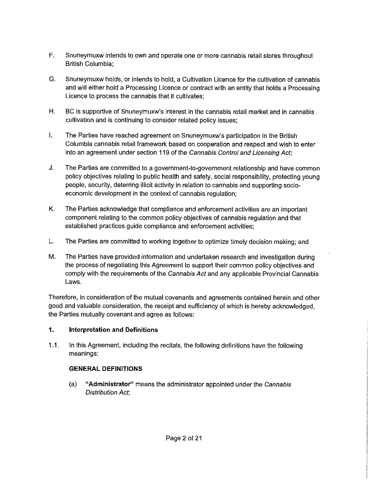- F. Snuneymuxw intends to own and operate one or more cannabis retail stores throughout British Columbia;
- G. Snuneymuxw holds, or intends to hold, a Cultivation Licence for the cultivation of cannabis and will either hold a Processing Licence or contract with an entity that holds a Processing Licence to process the cannabis that it cultivates;
- H. BC is supportive of Snuneymuxw's interest in the cannabis retail market and in cannabis cultivation and is continuing to consider related policy issues;
- I. The Parties have reached agreement on Snuneymuxw's participation in the British Columbia cannabis retail framework based on cooperation and respect and wish to enter into an agreement under section 119 of the Cannabis Control and Licensing Act;
- J. The Parties are committed to a government-to-government relationship and have common policy objectives relating to public health and safety, social responsibility, protecting young people, security, deterring illicit activity in relation to cannabis and supporting socioeconomic development in the context of cannabis regulation;
- K. The Parties acknowledge that compliance and enforcement activities are an important component relating to the common policy objectives of cannabis regulation and that established practices guide compliance and enforcement activities;
- L. The Parties are committed to working together to optimize timely decision making; and
- M. The Parties have provided information and undertaken research and investigation during the process of negotiating this Agreement to support their common policy objectives and comply with the requirements of the Cannabis Act and any applicable Provincial Cannabis Laws.

Therefore, in consideration of the mutual covenants and agreements contained herein and other good and valuable consideration, the receipt and sufficiency of which is hereby acknowledged, the Parties mutually covenant and agree as follows:

# **1. Interpretation and Definitions**

1.1. In this Agreement, including the recitals, the following definitions have the following meanings:

# **GENERAL DEFINITIONS**

(a) **"Administrator"** means the administrator appointed under the Cannabis Distribution Act;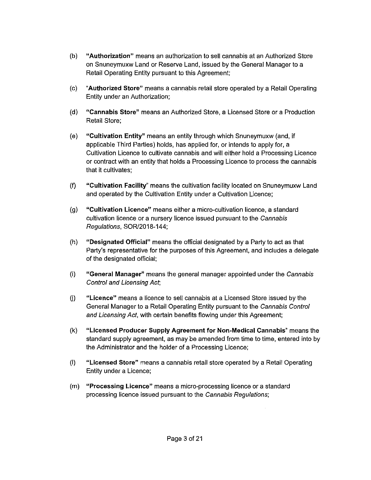- (b) **"Authorization"** means an authorization to sell cannabis at an Authorized Store on Snuneymuxw Land or Reserve Land, issued by the General Manager to a Retail Operating Entity pursuant to this Agreement;
- (c) **"Authorized Store"** means a cannabis retail store operated by a Retail Operating Entity under an Authorization;
- (d} **"Cannabis Store"** means an Authorized Store, a Licensed Store or a Production Retail Store;
- (e) **"Cultivation Entity"** means an entity through which Snuneymuxw (and, if applicable Third Parties) holds, has applied for, or intends to apply for, a Cultivation Licence to cultivate cannabis and will either hold a Processing Licence or contract with an entity that holds a Processing Licence to process the cannabis that it cultivates;
- (f} **"Cultivation Facility"** means the cultivation facility located on Snuneymuxw Land and operated by the Cultivation Entity under a Cultivation Licence;
- (g) **"Cultivation Licence"** means either a micro-cultivation licence, a standard cultivation licence or a nursery licence issued pursuant to the Cannabis Regulations, SOR/2018-144;
- (h} **"Designated Official"** means the official designated by a Party to act as that Party's representative for the purposes of this Agreement, and includes a delegate of the designated official;
- (i) **"General Manager"** means the general manager appointed under the Cannabis Control and Licensing Act;
- G) **"Licence"** means a licence to sell cannabis at a Licensed Store issued by the General Manager to a Retail Operating Entity pursuant to the Cannabis Control and Licensing Act, with certain benefits flowing under this Agreement;
- (k) **"Licensed Producer Supply Agreement for Non-Medical Cannabis"** means the standard supply agreement, as may be amended from time to time, entered into by the Administrator and the holder of a Processing Licence;
- (I) **"Licensed Store"** means a cannabis retail store operated by a Retail Operating Entity under a Licence;
- (m) **"Processing Licence"** means a micro-processing licence or a standard processing licence issued pursuant to the Cannabis Regulations;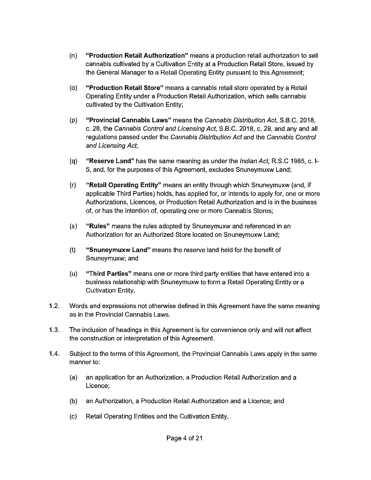- (n) **"Production Retail Authorization"** means a production retail authorization to sell cannabis cultivated by a Cultivation Entity at a Production Retail Store, issued by the General Manager to a Retail Operating Entity pursuant to this Agreement;
- (o) **"Production Retail Store"** means a cannabis retail store operated by a Retail Operating Entity under a Production Retail Authorization, which sells cannabis cultivated by the Cultivation Entity;
- (p) **"Provincial Cannabis Laws"** means the Cannabis Distribution Act, S.B.C. 2018, c. 28, the Cannabis Control and Licensing Act, S.B.C. 2018, c. 29, and any and all regulations passed under the Cannabis Distribution Act and the Cannabis Control and Licensing Act;
- (q) **"Reserve Land"** has the same meaning as under the Indian Act, R.S.C 1985, c. **1-** 5, and, for the purposes of this Agreement, excludes Snuneymuxw Land;
- (r) **"Retail Operating Entity"** means an entity through which Snuneymuxw (and, if applicable Third Parties) holds, has applied for, or intends to apply for, one or more Authorizations, Licences, or Production Retail Authorization and is in the business of, or has the intention of, operating one or more Cannabis Stores;
- (s) **"Rules"** means the rules adopted by Snuneymuxw and referenced in an Authorization for an Authorized Store located on Snuneymuxw Land;
- (t) **"Snuneymuxw Land"** means the reserve land held for the benefit of Snuneymuxw; and
- (u) **"Third Parties"** means one or more third party entities that have entered into a business relationship with Snuneymuxw to form a Retail Operating Entity or a Cultivation Entity.
- 1.2. Words and expressions not otherwise defined in this Agreement have the same meaning as in the Provincial Cannabis Laws.
- 1.3. The inclusion of headings in this Agreement is for convenience only and will not affect the construction or interpretation of this Agreement.
- 1.4. Subject to the terms of this Agreement, the Provincial Cannabis Laws apply in the same manner to:
	- (a) an application for an Authorization, a Production Retail Authorization and a Licence;
	- (b) an Authorization, a Production Retail Authorization and a Licence; and
	- (c) Retail Operating Entities and the Cultivation Entity,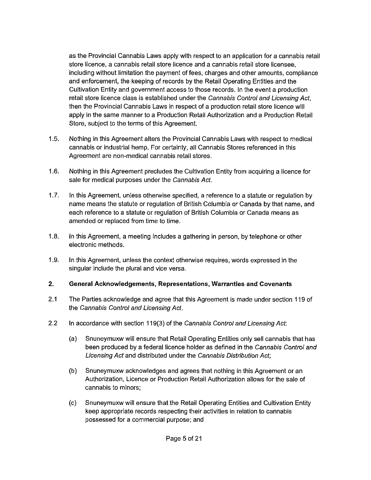as the Provincial Cannabis Laws apply with respect to an application for a cannabis retail store licence, a cannabis retail store licence and a cannabis retail store licensee, including without limitation the payment of fees, charges and other amounts, compliance and enforcement, the keeping of records by the Retail Operating Entities and the Cultivation Entity and government access to those records. In the event a production retail store licence class is established under the Cannabis Control and Licensing Act, then the Provincial Cannabis Laws in respect of a production retail store licence will apply in the same manner to a Production Retail Authorization and a Production Retail Store, subject to the terms of this Agreement.

- 1.5. Nothing in this Agreement alters the Provincial Cannabis Laws with respect to medical cannabis or industrial hemp. For certainty, all Cannabis Stores referenced in this Agreement are non-medical cannabis retail stores.
- 1.6. Nothing in this Agreement precludes the Cultivation Entity from acquiring a licence for sale for medical purposes under the Cannabis Act.
- 1.7. In this Agreement, unless otherwise specified, a reference to a statute or regulation by name means the statute or regulation of British Columbia or Canada by that name, and each reference to a statute or regulation of British Columbia or Canada means as amended or replaced from time to time.
- 1.8. In this Agreement, a meeting includes a gathering in person, by telephone or other electronic methods.
- 1.9. In this Agreement, unless the context otherwise requires, words expressed in the singular include the plural and vice versa.

#### **2. General Acknowledgements, Representations, Warranties and Covenants**

- 2.1 The Parties acknowledge and agree that this Agreement is made under section 119 of the Cannabis Control and Licensing Act.
- 2.2 In accordance with section 119(3) of the Cannabis Control and Licensing Act:
	- (a) Snuneymuxw will ensure that Retail Operating Entities only sell cannabis that has been produced by a federal licence holder as defined in the Cannabis Control and Licensing Act and distributed under the Cannabis Distribution Act;
	- (b) Snuneymuxw acknowledges and agrees that nothing in this Agreement or an Authorization, Licence or Production Retail Authorization allows for the sale of cannabis to minors;
	- (c) Snuneymuxw will ensure that the Retail Operating Entities and Cultivation Entity keep appropriate records respecting their activities in relation to cannabis possessed for a commercial purpose; and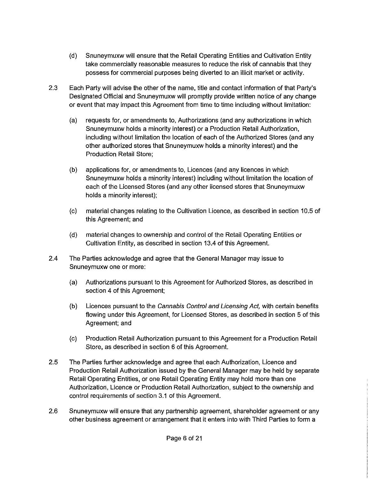- (d) Snuneymuxw will ensure that the Retail Operating Entities and Cultivation Entity take commercially reasonable measures to reduce the risk of cannabis that they possess for commercial purposes being diverted to an illicit market or activity.
- 2.3 Each Party will advise the other of the name, title and contact information of that Party's Designated Official and Snuneymuxw will promptly provide written notice of any change or event that may impact this Agreement from time to time including without limitation:
	- (a) requests for, or amendments to, Authorizations (and any authorizations in which Snuneymuxw holds a minority interest) or a Production Retail Authorization, including without limitation the location of each of the Authorized Stores (and any other authorized stores that Snuneymuxw holds a minority interest) and the Production Retail Store;
	- (b) applications for, or amendments to, Licences (and any licences in which Snuneymuxw holds a minority interest) including without limitation the location of each of the Licensed Stores (and any other licensed stores that Snuneymuxw holds a minority interest);
	- (c) material changes relating to the Cultivation Licence, as described in section 10.5 of this Agreement; and
	- (d) material changes to ownership and control of the Retail Operating Entities or Cultivation Entity, as described in section 13.4 of this Agreement.
- 2.4 The Parties acknowledge and agree that the General Manager may issue to Snuneymuxw one or more:
	- (a) Authorizations pursuant to this Agreement for Authorized Stores, as described in section 4 of this Agreement;
	- (b) Licences pursuant to the Cannabis Control and Licensing Act, with certain benefits flowing under this Agreement, for Licensed Stores, as described in section 5 of this Agreement; and
	- (c) Production Retail Authorization pursuant to this Agreement for a Production Retail Store, as described in section 6 of this Agreement.
- 2.5 The Parties further acknowledge and agree that each Authorization, Licence and Production Retail Authorization issued by the General Manager may be held by separate Retail Operating Entities, or one Retail Operating Entity may hold more than one Authorization, Licence or Production Retail Authorization, subject to the ownership and control requirements of section 3.1 of this Agreement.
- 2.6 Snuneymuxw will ensure that any partnership agreement, shareholder agreement or any other business agreement or arrangement that it enters into with Third Parties to form a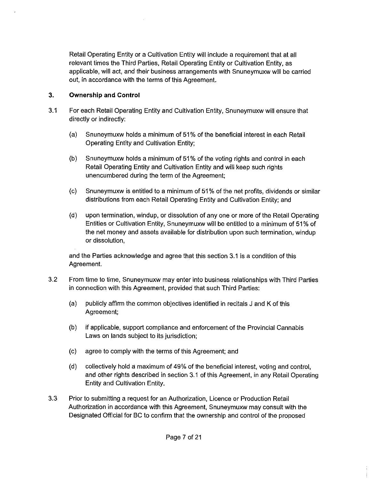Retail Operating Entity or a Cultivation Entity will include a requirement that at all relevant times the Third Parties, Retail Operating Entity or Cultivation Entity, as applicable, will act, and their business arrangements with Snuneymuxw will be carried out, in accordance with the terms of this Agreement.

# **3. Ownership and Control**

- 3.1 For each Retail Operating Entity and Cultivation Entity, Snuneymuxw will ensure that directly or indirectly:
	- (a) Snuneymuxw holds a minimum of 51 % of the beneficial interest in each Retail Operating Entity and Cultivation Entity;
	- (b} Snuneymuxw holds a minimum of 51 % of the voting rights and control in each Retail Operating Entity and Cultivation Entity and will keep such rights unencumbered during the term of the Agreement;
	- (c) Snuneymuxw is entitled to a minimum of 51% of the net profits, dividends or similar distributions from each Retail Operating Entity and Cultivation Entity; and
	- (d} upon termination, windup, or dissolution of any one or more of the Retail Operating Entities or Cultivation Entity, Snuneymuxw will be entitled to a minimum of 51 % of the net money and assets available for distribution upon such termination, windup or dissolution,

and the Parties acknowledge and agree that this section 3.1 is a condition of this Agreement.

- 3.2 From time to time, Snuneymuxw may enter into business relationships with Third Parties in connection with this Agreement, provided that such Third Parties:
	- (a) publicly affirm the common objectives identified in recitals J and K of this Agreement;
	- (b) if applicable, support compliance and enforcement of the Provincial Cannabis Laws on lands subject to its jurisdiction;
	- (c) agree to comply with the terms of this Agreement; and
	- (d) collectively hold a maximum of 49% of the beneficial interest, voting and control, and other rights described in section 3.1 of this Agreement, in any Retail Operating Entity and Cultivation Entity.
- 3.3 Prior to submitting a request for an Authorization, Licence or Production Retail Authorization in accordance with this Agreement, Snuneymuxw may consult with the Designated Official for BC to confirm that the ownership and control of the proposed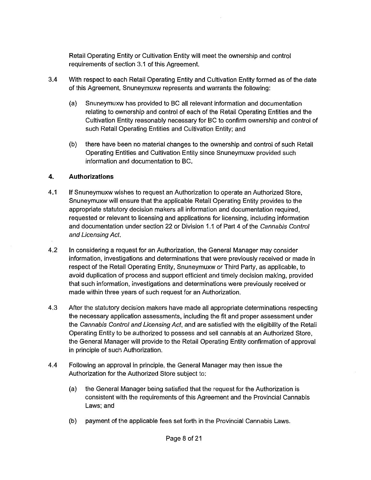Retail Operating Entity or Cultivation Entity will meet the ownership and control requirements of section 3.1 of this Agreement.

- 3.4 With respect to each Retail Operating Entity and Cultivation Entity formed as of the date of this Agreement, Snuneymuxw represents and warrants the following:
	- (a} Snuneymuxw has provided to BC all relevant information and documentation relating to ownership and control of each of the Retail Operating Entities and the Cultivation Entity reasonably necessary for BC to confirm ownership and control of such Retail Operating Entities and Cultivation Entity; and
	- (b) there have been no material changes to the ownership and control of such Retail Operating Entities and Cultivation Entity since Snuneymuxw provided such information and documentation to BC.

### **4. Authorizations**

- 4.1 If Snuneymuxw wishes to request an Authorization to operate an Authorized Store, Snuneymuxw will ensure that the applicable Retail Operating Entity provides to the appropriate statutory decision makers all information and documentation required, requested or relevant to licensing and applications for licensing, including information and documentation under section 22 or Division 1.1 of Part 4 of the Cannabis Control and Licensing Act.
- 4.2 In considering a request for an Authorization, the General Manager may consider information, investigations and determinations that were previously received or made in respect of the Retail Operating Entity, Snuneymuxw or Third Party, as applicable, to avoid duplication of process and support efficient and timely decision making, provided that such information, investigations and determinations were previously received or made within three years of such request for an Authorization.
- 4.3 After the statutory decision makers have made all appropriate determinations respecting the necessary application assessments, including the fit and proper assessment under the Cannabis Control and Licensing Act, and are satisfied with the eligibility of the Retail Operating Entity to be authorized to possess and sell cannabis at an Authorized Store, the General Manager will provide to the Retail Operating Entity confirmation of approval in principle of such Authorization.
- 4.4 Following an approval in principle, the General Manager may then issue the Authorization for the Authorized Store subject to:
	- (a) the General Manager being satisfied that the request for the Authorization is consistent with the requirements of this Agreement and the Provincial Cannabis Laws; and
	- (b) payment of the applicable fees set forth in the Provincial Cannabis Laws.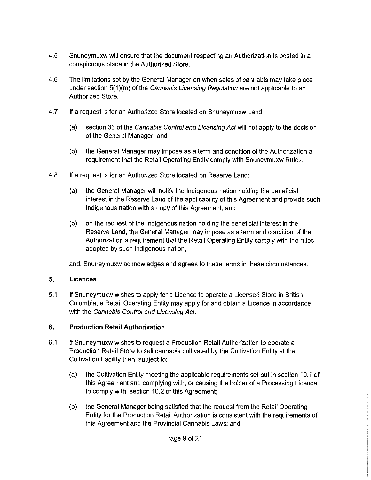- 4.5 Snuneymuxw will ensure that the document respecting an Authorization is posted in a conspicuous place in the Authorized Store.
- 4.6 The limitations set by the General Manager on when sales of cannabis may take place under section  $5(1)(m)$  of the Cannabis Licensing Regulation are not applicable to an Authorized Store.
- 4.7 If a request is for an Authorized Store located on Snuneymuxw Land:
	- (a) section 33 of the Cannabis Control and Licensing Act will not apply to the decision of the General Manager; and
	- (b) the General Manager may impose as a term and condition of the Authorization a requirement that the Retail Operating Entity comply with Snuneymuxw Rules.
- 4.8 If a request is for an Authorized Store located on Reserve Land:
	- (a) the General Manager will notify the Indigenous nation holding the beneficial interest in the Reserve Land of the applicability of this Agreement and provide such Indigenous nation with a copy of this Agreement; and
	- (b) on the request of the Indigenous nation holding the beneficial interest in the Reserve Land, the General Manager may impose as a term and condition of the Authorization a requirement that the Retail Operating Entity comply with the rules adopted by such Indigenous nation,

and, Snuneymuxw acknowledges and agrees to these terms in these circumstances.

# **5. Licences**

5.1 If Snuneymuxw wishes to apply for a Licence to operate a Licensed Store in British Columbia, a Retail Operating Entity may apply for and obtain a Licence in accordance with the Cannabis Control and Licensing Act.

# **6. Production Retail Authorization**

- 6.1 If Snuneymuxw wishes to request a Production Retail Authorization to operate a Production Retail Store to sell cannabis cultivated by the Cultivation Entity at the Cultivation Facility then, subject to:
	- (a) the Cultivation Entity meeting the applicable requirements set out in section 10.1 of this Agreement and complying with, or causing the holder of a Processing Licence to comply with, section 10.2 of this Agreement;
	- (b) the General Manager being satisfied that the request from the Retail Operating Entity for the Production Retail Authorization is consistent with the requirements of this Agreement and the Provincial Cannabis Laws; and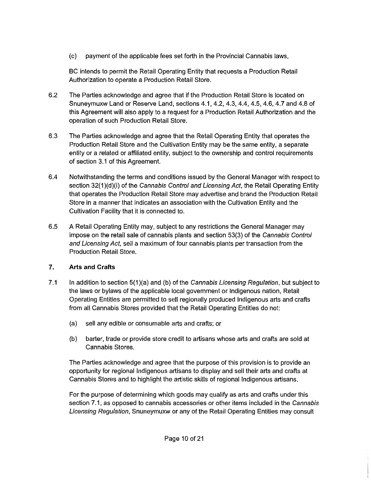(c) payment of the applicable fees set forth in the Provincial Cannabis laws,

BC intends to permit the Retail Operating Entity that requests a Production Retail Authorization to operate a Production Retail Store.

- 6.2 The Parties acknowledge and agree that if the Production Retail Store is located on Snuneymuxw Land or Reserve Land, sections 4.1, 4.2, 4.3, 4.4, 4.5, 4.6, 4.7 and 4.8 of this Agreement will also apply to a request for a Production Retail Authorization and the operation of such Production Retail Store.
- 6.3 The Parties acknowledge and agree that the Retail Operating Entity that operates the Production Retail Store and the Cultivation Entity may be the same entity, a separate entity or a related or affiliated entity, subject to the ownership and control requirements of section 3.1 of this Agreement.
- 6.4 Notwithstanding the terms and conditions issued by the General Manager with respect to section 32(1)(d)(i) of the Cannabis Control and Licensing Act, the Retail Operating Entity that operates the Production Retail Store may advertise and brand the Production Retail Store in a manner that indicates an association with the Cultivation Entity and the Cultivation Facility that it is connected to.
- 6.5 A Retail Operating Entity may, subject to any restrictions the General Manager may impose on the retail sale of cannabis plants and section 53(3) of the Cannabis Control and Licensing Act, sell a maximum of four cannabis plants per transaction from the Production Retail Store.

# **7. Arts and Crafts**

- 7.1 In addition to section 5(1)(a) and (b) of the Cannabis Licensing Regulation, but subject to the laws or bylaws of the applicable local government or Indigenous nation, Retail Operating Entities are permitted to sell regionally produced Indigenous arts and crafts from all Cannabis Stores provided that the Retail Operating Entities do not:
	- (a) sell any edible or consumable arts and crafts; or
	- (b} barter, trade or provide store credit to artisans whose arts and crafts are sold at Cannabis Stores.

The Parties acknowledge and agree that the purpose of this provision is to provide an opportunity for regional Indigenous artisans to display and sell their arts and crafts at Cannabis Stores and to highlight the artistic skills of regional Indigenous artisans.

For the purpose of determining which goods may qualify as arts and crafts under this section 7.1, as opposed to cannabis accessories or other items included in the Cannabis Licensing Regulation, Snuneymuxw or any of the Retail Operating Entities may consult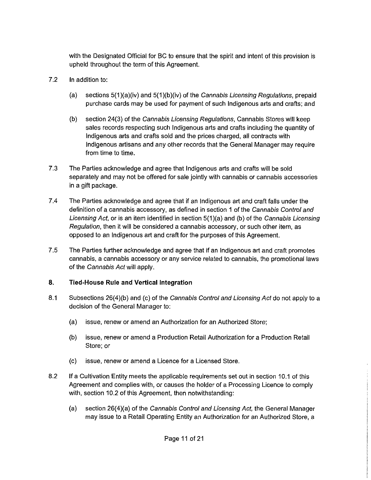with the Designated Official for BC to ensure that the spirit and intent of this provision is upheld throughout the term of this Agreement.

- 7.2 In addition to:
	- (a) sections  $5(1)(a)(iv)$  and  $5(1)(b)(iv)$  of the Cannabis Licensing Regulations, prepaid purchase cards may be used for payment of such Indigenous arts and crafts; and
	- (b) section 24(3) of the Cannabis Licensing Regulations, Cannabis Stores will keep sales records respecting such Indigenous arts and crafts including the quantity of Indigenous arts and crafts sold and the prices charged, all contracts with Indigenous artisans and any other records that the General Manager may require from time to time.
- 7.3 The Parties acknowledge and agree that Indigenous arts and crafts will be sold separately and may not be offered for sale jointly with cannabis or cannabis accessories in a gift package.
- 7.4 The Parties acknowledge and agree that if an Indigenous art and craft falls under the definition of a cannabis accessory, as defined in section 1 of the Cannabis Control and Licensing Act, or is an item identified in section 5(1)(a) and (b) of the Cannabis Licensing Regulation, then it will be considered a cannabis accessory, or such other item, as opposed to an Indigenous art and craft for the purposes of this Agreement.
- 7 .5 The Parties further acknowledge and agree that if an Indigenous art and craft promotes cannabis, a cannabis accessory or any service related to cannabis, the promotional laws of the Cannabis Act will apply.

# **8. Tied-House Rule and Vertical Integration**

- 8.1 Subsections 26(4)(b) and (c) of the Cannabis Control and Licensing Act do not apply to a decision of the General Manager to:
	- (a) issue, renew or amend an Authorization for an Authorized Store;
	- (b) issue, renew or amend a Production Retail Authorization for a Production Retail Store; or
	- (c) issue, renew or amend a Licence for a Licensed Store.
- 8.2 If a Cultivation Entity meets the applicable requirements set out in section 10.1 of this Agreement and complies with, or causes the holder of a Processing Licence to comply with, section 10.2 of this Agreement, then notwithstanding:
	- (a) section  $26(4)(a)$  of the Cannabis Control and Licensing Act, the General Manager may issue to a Retail Operating Entity an Authorization for an Authorized Store, a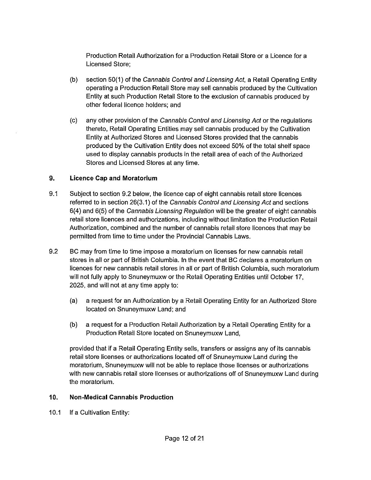Production Retail Authorization for a Production Retail Store or a Licence for a Licensed Store;

- (b) section 50(1) of the Cannabis Control and Licensing Act, a Retail Operating Entity operating a Production Retail Store may sell cannabis produced by the Cultivation Entity at such Production Retail Store to the exclusion of cannabis produced by other federal licence holders; and
- (c) any other provision of the Cannabis Control and Licensing Act or the regulations thereto, Retail Operating Entities may sell cannabis produced by the Cultivation Entity at Authorized Stores and Licensed Stores provided that the cannabis produced by the Cultivation Entity does not exceed 50% of the total shelf space used to display cannabis products in the retail area of each of the Authorized Stores and Licensed Stores at any time.

### **9. Licence Cap and Moratorium**

- 9.1 Subject to section 9.2 below, the licence cap of eight cannabis retail store licences referred to in section 26(3.1) of the Cannabis Control and Licensing Act and sections 6(4) and 6(5) of the Cannabis Licensing Regulation will be the greater of eight cannabis retail store licences.and authorizations, including without limitation the Production Retail Authorization, combined and the number of cannabis retail store licences that may be permitted from time to time under the Provincial Cannabis Laws.
- 9.2 BC may from time to time impose a moratorium on licenses for new cannabis retail stores in all or part of British Columbia. In the event that BC declares a moratorium on licences for new cannabis retail stores in all or part of British Columbia, such moratorium will not fully apply to Snuneymuxw or the Retail Operating Entities until October 17, 2025, and will not at any time apply to:
	- (a) a request for an Authorization by a Retail Operating Entity for an Authorized Store located on Snuneymuxw Land; and
	- (b) a request for a Production Retail Authorization by a Retail Operating Entity for a Production Retail Store located on Snuneymuxw Land,

provided that if a Retail Operating Entity sells, transfers or assigns any of its cannabis retail store licenses or authorizations located off of Snuneymuxw Land during the moratorium, Snuneymuxw will not be able to replace those licenses or authorizations with new cannabis retail store licenses or authorizations off of Snuneymuxw Land during the moratorium.

#### **10. Non-Medical Cannabis Production**

10.1 If a Cultivation Entity: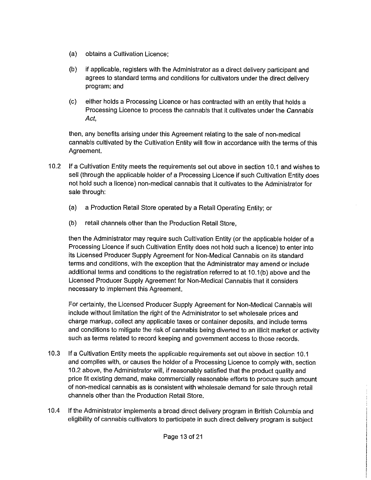- (a) obtains a Cultivation Licence;
- (b) if applicable, registers with the Administrator as a direct delivery participant and agrees to standard terms and conditions for cultivators under the direct delivery program; and
- (c) either holds a Processing Licence or has contracted with an entity that holds a Processing Licence to process the cannabis that it cultivates under the Cannabis Act,

then, any benefits arising under this Agreement relating to the sale of non-medical cannabis cultivated by the Cultivation Entity will flow in accordance with the terms of this Agreement.

- 10.2 If a Cultivation Entity meets the requirements set out above in section 10.1 and wishes to sell (through the applicable holder of a Processing Licence if such Cultivation Entity does not hold such a licence) non-medical cannabis that it cultivates to the Administrator for sale through:
	- (a) a Production Retail Store operated by a Retail Operating Entity; or
	- (b) retail channels other than the Production Retail Store,

then the Administrator may require such Cultivation Entity (or the applicable holder of a Processing Licence if such Cultivation Entity does not hold such a licence) to enter into its Licensed Producer Supply Agreement for Non-Medical Cannabis on its standard terms and conditions, with the exception that the Administrator may amend or include additional terms and conditions to the registration referred to at 10.1(b) above and the Licensed Producer Supply Agreement for Non-Medical Cannabis that it considers necessary to implement this Agreement.

For certainty, the Licensed Producer Supply Agreement for Non-Medical Cannabis will include without limitation the right of the Administrator to set wholesale prices and charge markup, collect any applicable taxes or container deposits, and include terms and conditions to mitigate the risk of cannabis being diverted to an illicit market or activity such as terms related to record keeping and government access to those records.

- 10.3 If a Cultivation Entity meets the applicable requirements set out above in section 10.1 and complies with, or causes the holder of a Processing Licence to comply with, section 10.2 above, the Administrator will, if reasonably satisfied that the product quality and price fit existing demand, make commercially reasonable efforts to procure such amount of non-medical cannabis as is consistent with wholesale demand for sale through retail channels other than the Production Retail Store.
- 10.4 If the Administrator implements a broad direct delivery program in British Columbia and eligibility of cannabis cultivators to participate in such direct delivery program is subject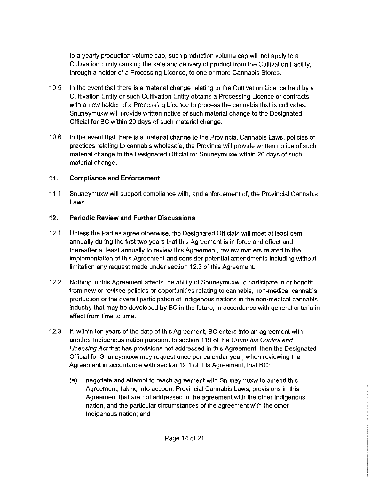to a yearly production volume cap, such production volume cap will not apply to a Cultivation Entity causing the sale and delivery of product from the Cultivation Facility, through a holder of a Processing Licence, to one or more Cannabis Stores.

- 10.5 In the event that there is a material change relating to the Cultivation Licence held by a Cultivation Entity or such Cultivation Entity obtains a Processing Licence or contracts with a new holder of a Processing Licence to process the cannabis that is cultivates, Snuneymuxw will provide written notice of such material change to the Designated Official for BC within 20 days of such material change.
- 10.6 In the event that there is a material change to the Provincial Cannabis Laws, policies or practices relating to cannabis wholesale, the Province will provide written notice of such material change to the Designated Official for Snuneymuxw within 20 days of such material change.

# **11. Compliance and Enforcement**

11.1 Snuneymuxw will support compliance with, and enforcement of, the Provincial Cannabis Laws.

### **12. Periodic Review and Further Discussions**

- 12.1 Unless the Parties agree otherwise, the Designated Officials will meet at least semiannually during the first two years that this Agreement is in force and effect and thereafter at least annually to review this Agreement, review matters related to the implementation of this Agreement and consider potential amendments including without limitation any request made under section 12.3 of this Agreement.
- 12.2 Nothing in this Agreement affects the ability of Snuneymuxw to participate in or benefit from new or revised policies or opportunities relating to cannabis, non-medical cannabis production or the overall participation of Indigenous nations in the non-medical cannabis industry that may be developed by BC in the future, in accordance with general criteria in effect from time to time.
- 12.3 If, within ten years of the date of this Agreement, BC enters into an agreement with another Indigenous nation pursuant to section 119 of the Cannabis Control and Licensing Act that has provisions not addressed in this Agreement, then the Designated Official for Snuneymuxw may request once per calendar year, when reviewing the Agreement in accordance with section 12.1 of this Agreement, that BC:
	- (a) negotiate and attempt to reach agreement with Snuneymuxw to amend this Agreement, taking into account Provincial Cannabis Laws, provisions in this Agreement that are not addressed in the agreement with the other Indigenous nation, and the particular circumstances of the agreement with the other Indigenous nation; and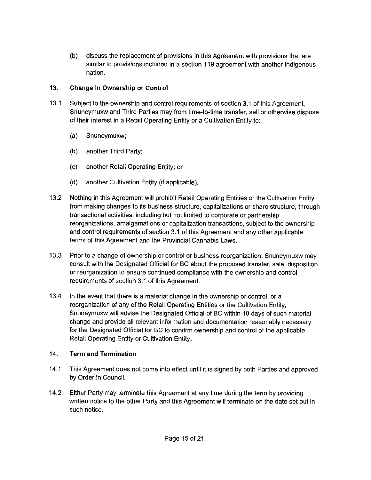{b) discuss the replacement of provisions in this Agreement with provisions that are similar to provisions included in a section 119 agreement with another Indigenous nation.

# **13. Change in Ownership or Control**

- 13.1 Subject to the ownership and control requirements of section 3.1 of this Agreement, Snuneymuxw and Third Parties may from time-to-time transfer, sell or otherwise dispose of their interest in a Retail Operating Entity or a Cultivation Entity to:
	- (a) Snuneymuxw;
	- (b) another Third Party;
	- (c) another Retail Operating Entity; or
	- {d) another Cultivation Entity (if applicable).
- 13.2 Nothing in this Agreement will prohibit Retail Operating Entities or the Cultivation Entity from making changes to its business structure, capitalizations or share structure, through transactional activities, including but not limited to corporate or partnership reorganizations, amalgamations or capitalization transactions, subject to the ownership and control requirements of section 3.1 of this Agreement and any other applicable terms of this Agreement and the Provincial Cannabis Laws.
- 13.3 Prior to a change of ownership or control or business reorganization, Snuneymuxw may consult with the Designated Official for BC about the proposed transfer, sale, disposition or reorganization to ensure continued compliance with the ownership and control requirements of section 3.1 of this Agreement.
- 13.4 In the event that there is a material change in the ownership or control, or a reorganization of any of the Retail Operating Entities or the Cultivation Entity, Snuneymuxw will advise the Designated Official of BC within 10 days of such material change and provide all relevant information and documentation reasonably necessary for the Designated Official for BC to confirm ownership and control of the applicable Retail Operating Entity or Cultivation Entity.

# **14. Term and Termination**

- 14.1 This Agreement does not come into effect until it is signed by both Parties and approved by Order in Council.
- 14.2 Either Party may terminate this Agreement at any time during the term by providing written notice to the other Party and this Agreement will terminate on the date set out in such notice.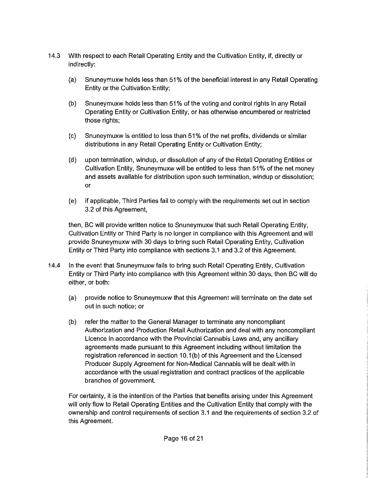- 14.3 With respect to each Retail Operating Entity and the Cultivation Entity, if, directly or indirectly:
	- (a) Snuneymuxw holds less than 51 % of the beneficial interest in any Retail Operating Entity or the Cultivation Entity;
	- (b) Snuneymuxw holds less than 51% of the voting and control rights in any Retail Operating Entity or Cultivation Entity, or has otherwise encumbered or restricted those rights;
	- (c) Snuneymuxw is entitled to less than 51 % of the net profits, dividends or similar distributions in any Retail Operating Entity or Cultivation Entity;
	- (d) upon termination, windup, or dissolution of any of the Retail Operating Entities or Cultivation Entity, Snuneymuxw will be entitled to less than 51 % of the net money and assets available for distribution upon such termination, windup or dissolution; or
	- (e) if applicable, Third Parties fail to comply with the requirements set out in section 3.2 of this Agreement,

then, BC will provide written notice to Snuneymuxw that such Retail Operating Entity, Cultivation Entity or Third Party is no longer in compliance with this Agreement and will provide Snuneymuxw with 30 days to bring such Retail Operating Entity, Cultivation Entity or Third Party into compliance with sections 3.1 and 3.2 of this Agreement.

- 14.4 In the event that Snuneymuxw fails to bring such Retail Operating Entity, Cultivation Entity or Third Party into compliance with this Agreement within 30 days, then BC will do either, or both:
	- (a) provide notice to Snuneymuxw that this Agreement will terminate on the date set out in such notice; or
	- (b) refer the matter to the General Manager to terminate any noncompliant Authorization and Production Retail Authorization and deal with any noncompliant Licence in accordance with the Provincial Cannabis Laws and, any ancillary agreements made pursuant to this Agreement including without limitation the registration referenced in section 10.1{b) of this Agreement and the Licensed Producer Supply Agreement for Non-Medical Cannabis will be dealt with in accordance with the usual registration and contract practices of the applicable branches of government.

For certainty, it is the intention of the Parties that benefits arising under this Agreement will only flow to Retail Operating Entities and the Cultivation Entity that comply with the ownership and control requirements of section 3.1 and the requirements of section 3.2 of this Agreement.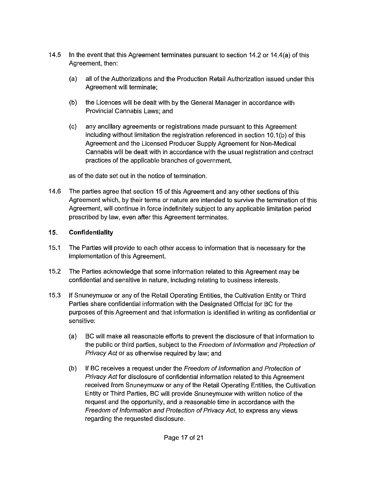- 14.5 In the event that this Agreement terminates pursuant to section 14.2 or 14.4(a) of this Agreement, then:
	- (a) all of the Authorizations and the Production Retail Authorization issued under this Agreement will terminate;
	- (b) the Licences will be dealt with by the General Manager in accordance with Provincial Cannabis Laws; and
	- (c) any ancillary agreements or registrations made pursuant to this Agreement including without limitation the registration referenced in section 10.1(b) of this Agreement and the Licensed Producer Supply Agreement for Non-Medical Cannabis will be dealt with in accordance with the usual registration and contract practices of the applicable branches of government,

as of the date set out in the notice of termination.

14.6 The parties agree that section 15 of this Agreement and any other sections of this Agreement which, by their terms or nature are intended to survive the termination of this Agreement, will continue in force indefinitely subject to any applicable limitation period prescribed by law, even after this Agreement terminates.

# **15. Confidentiality**

- 15.1 The Parties will provide to each other access to information that is necessary for the implementation of this Agreement.
- 15.2 The Parties acknowledge that some information related to this Agreement may be confidential and sensitive in nature, including relating to business interests.
- 15.3 If Snuneymuxw or any of the Retail Operating Entities, the Cultivation Entity or Third Parties share confidential information with the Designated Official for BC for the purposes of this Agreement and that information is identified in writing as confidential or sensitive:
	- (a) BC will make all reasonable efforts to prevent the disclosure of that information to the public or third parties, subject to the Freedom of Information and Protection of Privacy Act or as otherwise required by law; and
	- (b) If BC receives a request under the Freedom of Information and Protection of Privacy Act for disclosure of confidential information related to this Agreement received from Snuneymuxw or any of the Retail Operating Entities, the Cultivation Entity or Third Parties, BC will provide Snuneymuxw with written notice of the request and the opportunity, and a reasonable time in accordance with the Freedom of Information and Protection of Privacy Act, to express any views regarding the requested disclosure.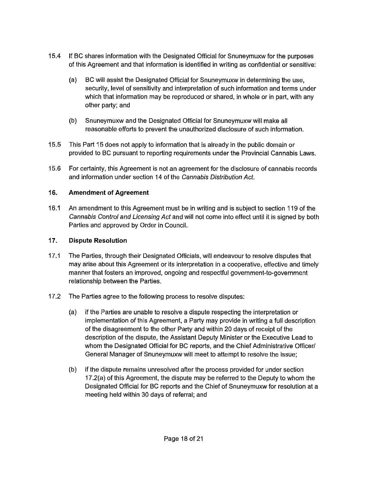- 15.4 If BC shares information with the Designated Official for Snuneymuxw for the purposes of this Agreement and that information is identified in writing as confidential or sensitive:
	- (a) BC will assist the Designated Official for Snuneymuxw in determining the use, security, level of sensitivity and interpretation of such information and terms under which that information may be reproduced or shared, in whole or in part, with any other party; and
	- (b) Snuneymuxw and the Designated Official for Snuneymuxw will make all reasonable efforts to prevent the unauthorized disclosure of such information.
- 15.5 This Part 15 does not apply to information that is already in the public domain or provided to BC pursuant to reporting requirements under the Provincial Cannabis Laws.
- 15.6 For certainty, this Agreement is not an agreement for the disclosure of cannabis records and information under section 14 of the Cannabis Distribution Act.

### **16. Amendment of Agreement**

16.1 An amendment to this Agreement must be in writing and is subject to section 119 of the Cannabis Control and Licensing Act and will not come into effect until it is signed by both Parties and approved by Order in Council.

### **17. Dispute Resolution**

- 17.1 The Parties, through their Designated Officials, will endeavour to resolve disputes that may arise about this Agreement or its interpretation in a cooperative, effective and timely manner that fosters an improved, ongoing and respectful government-to-government relationship between the Parties.
- 17 .2 The Parties agree to the following process to resolve disputes:
	- (a) if the Parties are unable to resolve a dispute respecting the interpretation or implementation of this Agreement, a Party may provide in writing a full description of the disagreement to the other Party and within 20 days of receipt of the description of the dispute, the Assistant Deputy Minister or the Executive Lead to whom the Designated Official for BC reports, and the Chief Administrative Officer/ General Manager of Snuneymuxw will meet to attempt to resolve the issue;
	- (b) if the dispute remains unresolved after the process provided for under section 17.2(a) of this Agreement, the dispute may be referred to the Deputy to whom the Designated Official for BC reports and the Chief of Snuneymuxw for resolution at a meeting held within 30 days of referral; and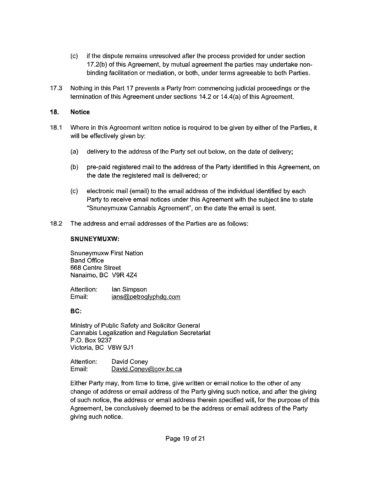- (c) if the dispute remains unresolved after the process provided for under section 17.2(b) of this Agreement, by mutual agreement the parties may undertake nonbinding facilitation or mediation, or both, under terms agreeable to both Parties.
- 17 .3 Nothing in this Part 17 prevents a Party from commencing judicial proceedings or the termination of this Agreement under sections 14.2 or 14.4(a) of this Agreement.

#### **18. Notice**

- 18.1 Where in this Agreement written notice is required to be given by either of the Parties, it will be effectively given by:
	- (a) delivery to the address of the Party set out below, on the date of delivery;
	- (b) pre-paid registered mail to the address of the Party identified in this Agreement, on the date the registered mail is delivered; or
	- (c) electronic mail (email) to the email address of the individual identified by each Party to receive email notices under this Agreement with the subject line to state "Snuneymuxw Cannabis Agreement", on the date the email is sent.
- 18.2 The address and email addresses of the Parties are as follows:

#### **SNUNEYMUXW:**

Snuneymuxw First Nation Band Office 668 Centre Street Nanaimo, BC V9R 424

Attention: Email: Ian Simpson ians@petroglyphdg.com

#### **BC:**

Ministry of Public Safety and Solicitor General Cannabis Legalization and Regulation Secretariat P.O. Box 9237 Victoria, BC V8W 9J1

Attention: Email: David Coney David.Coney@gov.bc.ca

Either Party may, from time to time, give written or email notice to the other of any change of address or email address of the Party giving such notice, and after the giving of such notice, the address or email address therein specified will, for the purpose of this Agreement, be conclusively deemed to be the address or email address of the Party giving such notice.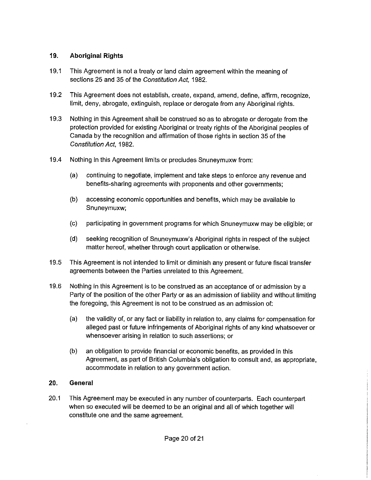### **19. Aboriginal Rights**

- 19.1 This Agreement is not a treaty or land claim agreement within the meaning of sections 25 and 35 of the Constitution Act, 1982.
- 19.2 This Agreement does not establish, create, expand, amend, define, affirm, recognize, limit, deny, abrogate, extinguish, replace or derogate from any Aboriginal rights.
- 19.3 Nothing in this Agreement shall be construed so as to abrogate or derogate from the protection provided for existing Aboriginal or treaty rights of the Aboriginal peoples of Canada by the recognition and affirmation of those rights in section 35 of the Constitution Act, 1982.
- 19.4 Nothing in this Agreement limits or precludes Snuneymuxw from:
	- (a) continuing to negotiate, implement and take steps to enforce any revenue and benefits-sharing agreements with proponents and other governments;
	- (b) accessing economic opportunities and benefits, which may be available to Snuneymuxw;
	- (c) participating in government programs for which Snuneymuxw may be eligible; or
	- (d) seeking recognition of Snuneymuxw's Aboriginal rights in respect of the subject matter hereof, whether through court application or otherwise.
- 19.5 This Agreement is not intended to limit or diminish any present or future fiscal transfer agreements between the Parties unrelated to this Agreement.
- 19.6 Nothing in this Agreement is to be construed as an acceptance of or admission by a Party of the position of the other Party or as an admission of liability and without limiting the foregoing, this Agreement is not to be construed as an admission of:
	- (a) the validity of, or any fact or liability in relation to, any claims for compensation for alleged past or future infringements of Aboriginal rights of any kind whatsoever or whensoever arising in relation to such assertions; or
	- (b) an obligation to provide financial or economic benefits, as provided in this Agreement, as part of British Columbia's obligation to consult and, as appropriate, accommodate in relation to any government action.

# **20. General**

20.1 This Agreement may be executed in any number of counterparts. Each counterpart when so executed will be deemed to be an original and all of which together will constitute one and the same agreement.